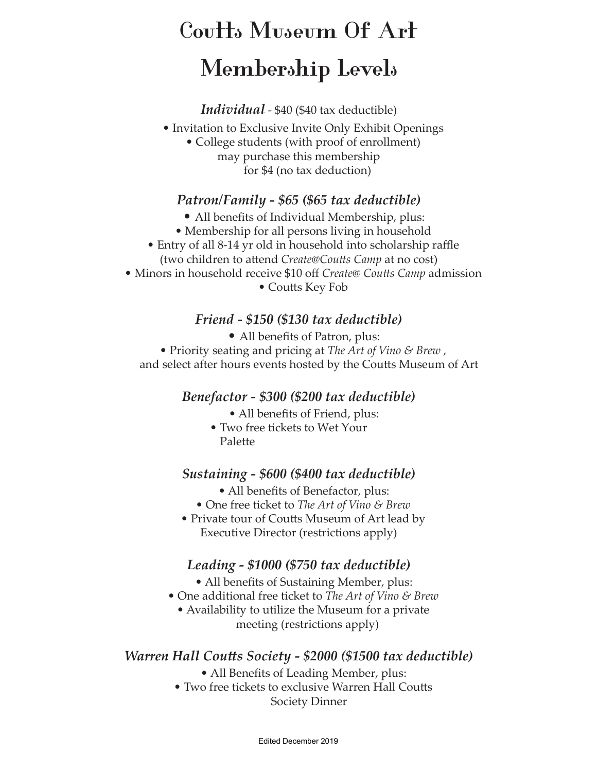# **Coutts Museum Of Art Membership Levels**

*Individual* - \$40 (\$40 tax deductible)

- Invitation to Exclusive Invite Only Exhibit Openings
	- College students (with proof of enrollment) may purchase this membership for \$4 (no tax deduction)

#### *Patron/Family - \$65 (\$65 tax deductible)*

- All benefits of Individual Membership, plus:
- Membership for all persons living in household
- Entry of all 8-14 yr old in household into scholarship raffle
- (two children to attend *Create@Coutts Camp* at no cost) • Minors in household receive \$10 off *Create@ Coutts Camp* admission

• Coutts Key Fob

#### *Friend - \$150 (\$130 tax deductible)*

• All benefits of Patron, plus:

• Priority seating and pricing at *The Art of Vino & Brew ,* and select after hours events hosted by the Coutts Museum of Art

#### *Benefactor - \$300 (\$200 tax deductible)*

- All benefits of Friend, plus:
- Two free tickets to Wet Your Palette

#### *Sustaining - \$600 (\$400 tax deductible)*

- All benefits of Benefactor, plus:
- One free ticket to *The Art of Vino & Brew*
- Private tour of Coutts Museum of Art lead by Executive Director (restrictions apply)

#### *Leading - \$1000 (\$750 tax deductible)*

- All benefits of Sustaining Member, plus:
- One additional free ticket to *The Art of Vino & Brew*
	- Availability to utilize the Museum for a private meeting (restrictions apply)

#### *Warren Hall Coutts Society - \$2000 (\$1500 tax deductible)*

- All Benefits of Leading Member, plus:
- Two free tickets to exclusive Warren Hall Coutts

Society Dinner